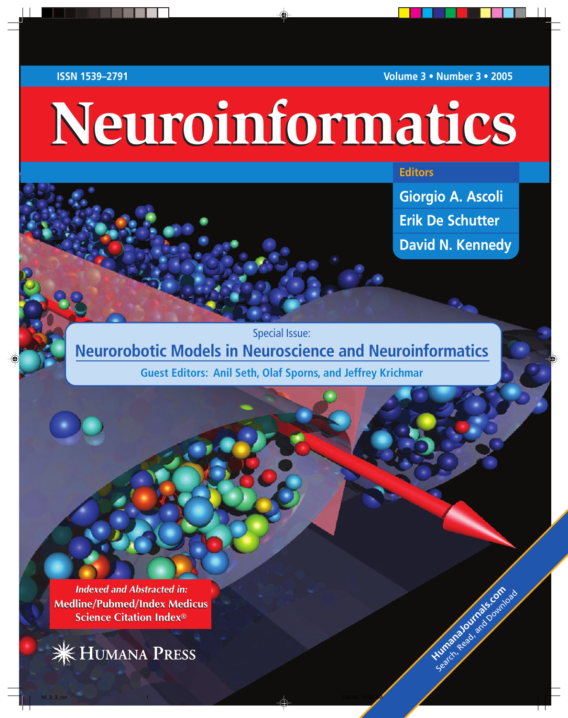# **Neuroinformatics Neuroinformatics**

### **Editors**

**Giorgio A. Ascoli Erik De Schutter David N. Kennedy**

**KumanaJournals.com** 

Special Issue:

# **Neurorobotic Models in Neuroscience and Neuroinformatics**

**Guest Editors: Anil Seth, Olaf Sporns, and Jeffrey Krichmar**

**Indexed and Abstracted in: Indexed and Abstracted in: Medline/Pubmed/Index Medicus Medline/Pubmed/Index Medicus Science Citation Index® Science Citation Index®**

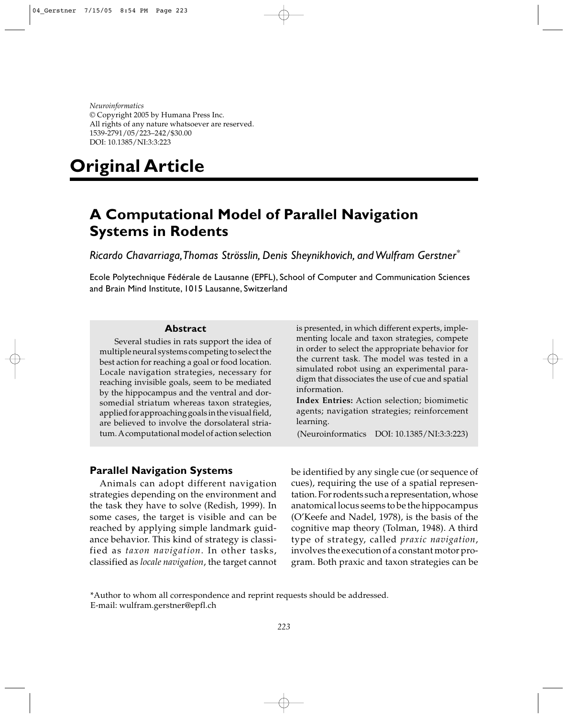*Neuroinformatics* © Copyright 2005 by Humana Press Inc. All rights of any nature whatsoever are reserved. 1539-2791/05/223–242/\$30.00 DOI: 10.1385/NI:3:3:223

# **Original Article**

## **A Computational Model of Parallel Navigation Systems in Rodents**

*Ricardo Chavarriaga,Thomas Strösslin, Denis Sheynikhovich, and Wulfram Gerstner\**

Ecole Polytechnique Fédérale de Lausanne (EPFL), School of Computer and Communication Sciences and Brain Mind Institute, 1015 Lausanne, Switzerland

#### **Abstract**

Several studies in rats support the idea of multiple neural systems competing to select the best action for reaching a goal or food location. Locale navigation strategies, necessary for reaching invisible goals, seem to be mediated by the hippocampus and the ventral and dorsomedial striatum whereas taxon strategies, applied for approaching goals in the visual field, are believed to involve the dorsolateral striatum. Acomputational model of action selection

is presented, in which different experts, implementing locale and taxon strategies, compete in order to select the appropriate behavior for the current task. The model was tested in a simulated robot using an experimental paradigm that dissociates the use of cue and spatial information.

**Index Entries:** Action selection; biomimetic agents; navigation strategies; reinforcement learning.

(Neuroinformatics DOI: 10.1385/NI:3:3:223)

#### **Parallel Navigation Systems**

Animals can adopt different navigation strategies depending on the environment and the task they have to solve (Redish, 1999). In some cases, the target is visible and can be reached by applying simple landmark guidance behavior. This kind of strategy is classified as *taxon navigation*. In other tasks, classified as *locale navigation*, the target cannot

be identified by any single cue (or sequence of cues), requiring the use of a spatial representation. For rodents such a representation, whose anatomical locus seems to be the hippocampus (O'Keefe and Nadel, 1978), is the basis of the cognitive map theory (Tolman, 1948). A third type of strategy, called *praxic navigation*, involves the execution of a constant motor program. Both praxic and taxon strategies can be

\*Author to whom all correspondence and reprint requests should be addressed. E-mail: wulfram.gerstner@epfl.ch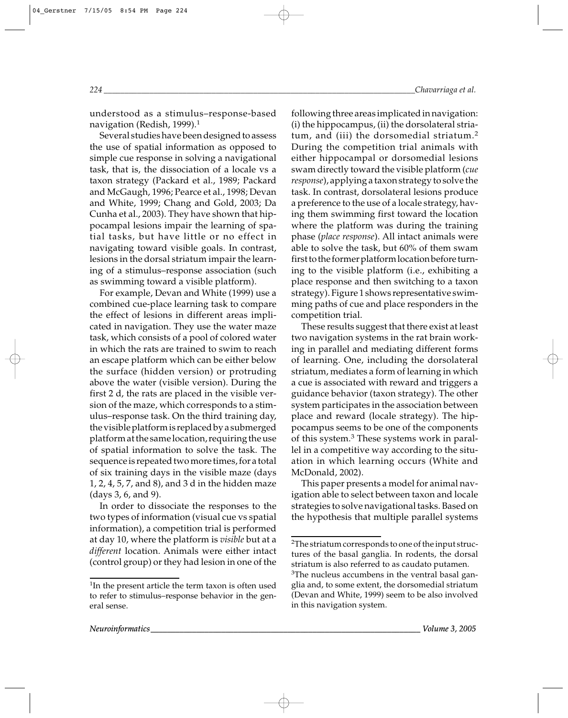understood as a stimulus–response-based navigation (Redish, 1999).<sup>1</sup>

Several studies have been designed to assess the use of spatial information as opposed to simple cue response in solving a navigational task, that is, the dissociation of a locale vs a taxon strategy (Packard et al., 1989; Packard and McGaugh, 1996; Pearce et al., 1998; Devan and White, 1999; Chang and Gold, 2003; Da Cunha et al., 2003). They have shown that hippocampal lesions impair the learning of spatial tasks, but have little or no effect in navigating toward visible goals. In contrast, lesions in the dorsal striatum impair the learning of a stimulus–response association (such as swimming toward a visible platform).

For example, Devan and White (1999) use a combined cue-place learning task to compare the effect of lesions in different areas implicated in navigation. They use the water maze task, which consists of a pool of colored water in which the rats are trained to swim to reach an escape platform which can be either below the surface (hidden version) or protruding above the water (visible version). During the first 2 d, the rats are placed in the visible version of the maze, which corresponds to a stimulus–response task. On the third training day, the visible platform is replaced by a submerged platform at the same location, requiring the use of spatial information to solve the task. The sequence is repeated two more times, for a total of six training days in the visible maze (days 1, 2, 4, 5, 7, and 8), and 3 d in the hidden maze (days 3, 6, and 9).

In order to dissociate the responses to the two types of information (visual cue vs spatial information), a competition trial is performed at day 10, where the platform is *visible* but at a *different* location. Animals were either intact (control group) or they had lesion in one of the following three areas implicated in navigation: (i) the hippocampus, (ii) the dorsolateral striatum, and (iii) the dorsomedial striatum.<sup>2</sup> During the competition trial animals with either hippocampal or dorsomedial lesions swam directly toward the visible platform (*cue response*), applying a taxon strategy to solve the task. In contrast, dorsolateral lesions produce a preference to the use of a locale strategy, having them swimming first toward the location where the platform was during the training phase (*place response*). All intact animals were able to solve the task, but 60% of them swam first to the former platform location before turning to the visible platform (i.e., exhibiting a place response and then switching to a taxon strategy). Figure 1 shows representative swimming paths of cue and place responders in the competition trial.

These results suggest that there exist at least two navigation systems in the rat brain working in parallel and mediating different forms of learning. One, including the dorsolateral striatum, mediates a form of learning in which a cue is associated with reward and triggers a guidance behavior (taxon strategy). The other system participates in the association between place and reward (locale strategy). The hippocampus seems to be one of the components of this system.<sup>3</sup> These systems work in parallel in a competitive way according to the situation in which learning occurs (White and McDonald, 2002).

This paper presents a model for animal navigation able to select between taxon and locale strategies to solve navigational tasks. Based on the hypothesis that multiple parallel systems

<sup>&</sup>lt;sup>1</sup>In the present article the term taxon is often used to refer to stimulus–response behavior in the general sense.

<sup>2</sup>The striatum corresponds to one of the input structures of the basal ganglia. In rodents, the dorsal striatum is also referred to as caudato putamen.

<sup>&</sup>lt;sup>3</sup>The nucleus accumbens in the ventral basal ganglia and, to some extent, the dorsomedial striatum (Devan and White, 1999) seem to be also involved in this navigation system.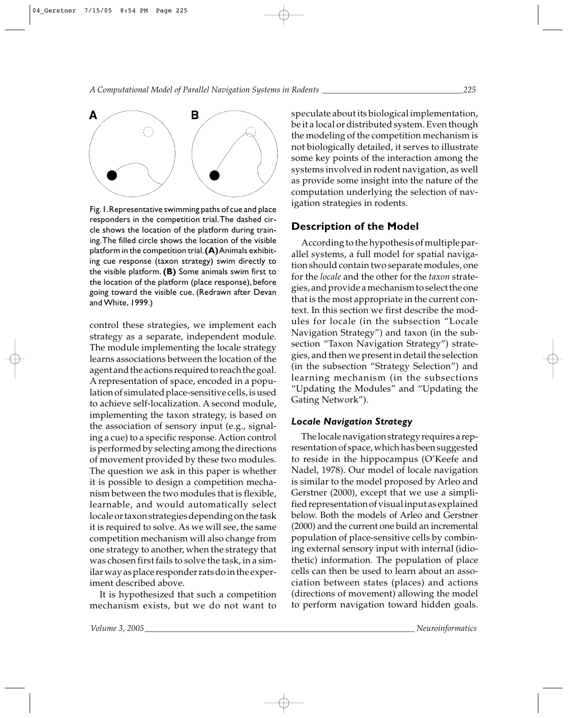

Fig.1.Representative swimming paths of cue and place responders in the competition trial.The dashed circle shows the location of the platform during training.The filled circle shows the location of the visible platform in the competition trial.**(A)**Animals exhibiting cue response (taxon strategy) swim directly to the visible platform. **(B)** Some animals swim first to the location of the platform (place response), before going toward the visible cue. (Redrawn after Devan and White, 1999.)

control these strategies, we implement each strategy as a separate, independent module. The module implementing the locale strategy learns associations between the location of the agent and the actions required to reach the goal. A representation of space, encoded in a population of simulated place-sensitive cells, is used to achieve self-localization. A second module, implementing the taxon strategy, is based on the association of sensory input (e.g., signaling a cue) to a specific response. Action control is performed by selecting among the directions of movement provided by these two modules. The question we ask in this paper is whether it is possible to design a competition mechanism between the two modules that is flexible, learnable, and would automatically select locale or taxon strategies depending on the task it is required to solve. As we will see, the same competition mechanism will also change from one strategy to another, when the strategy that was chosen first fails to solve the task, in a similar way as place responder rats do in the experiment described above.

It is hypothesized that such a competition mechanism exists, but we do not want to speculate about its biological implementation, be it a local or distributed system. Even though the modeling of the competition mechanism is not biologically detailed, it serves to illustrate some key points of the interaction among the systems involved in rodent navigation, as well as provide some insight into the nature of the computation underlying the selection of navigation strategies in rodents.

#### **Description of the Model**

According to the hypothesis of multiple parallel systems, a full model for spatial navigation should contain two separate modules, one for the *locale* and the other for the *taxon* strategies, and provide a mechanism to select the one that is the most appropriate in the current context. In this section we first describe the modules for locale (in the subsection "Locale Navigation Strategy") and taxon (in the subsection "Taxon Navigation Strategy") strategies, and then we present in detail the selection (in the subsection "Strategy Selection") and learning mechanism (in the subsections "Updating the Modules" and "Updating the Gating Network").

#### *Locale Navigation Strategy*

The locale navigation strategy requires a representation of space, which has been suggested to reside in the hippocampus (O'Keefe and Nadel, 1978). Our model of locale navigation is similar to the model proposed by Arleo and Gerstner (2000), except that we use a simplified representation of visual input as explained below. Both the models of Arleo and Gerstner (2000) and the current one build an incremental population of place-sensitive cells by combining external sensory input with internal (idiothetic) information. The population of place cells can then be used to learn about an association between states (places) and actions (directions of movement) allowing the model to perform navigation toward hidden goals.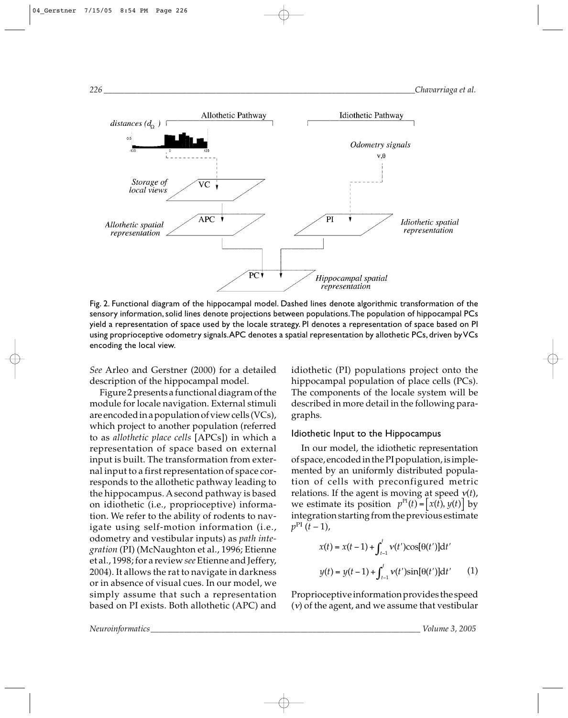

Fig. 2. Functional diagram of the hippocampal model. Dashed lines denote algorithmic transformation of the sensory information, solid lines denote projections between populations.The population of hippocampal PCs yield a representation of space used by the locale strategy. PI denotes a representation of space based on PI using proprioceptive odometry signals.APC denotes a spatial representation by allothetic PCs, driven by VCs encoding the local view.

*See* Arleo and Gerstner (2000) for a detailed description of the hippocampal model.

Figure 2 presents a functional diagram of the module for locale navigation. External stimuli are encoded in a population of view cells (VCs), which project to another population (referred to as *allothetic place cells* [APCs]) in which a representation of space based on external input is built. The transformation from external input to a first representation of space corresponds to the allothetic pathway leading to the hippocampus. A second pathway is based on idiothetic (i.e., proprioceptive) information. We refer to the ability of rodents to navigate using self-motion information (i.e., odometry and vestibular inputs) as *path integration* (PI) (McNaughton et al., 1996; Etienne et al., 1998; for a review *see* Etienne and Jeffery, 2004). It allows the rat to navigate in darkness or in absence of visual cues. In our model, we simply assume that such a representation based on PI exists. Both allothetic (APC) and idiothetic (PI) populations project onto the hippocampal population of place cells (PCs). The components of the locale system will be described in more detail in the following paragraphs.

#### Idiothetic Input to the Hippocampus

In our model, the idiothetic representation of space, encoded in the PI population, is implemented by an uniformly distributed population of cells with preconfigured metric relations. If the agent is moving at speed  $v(t)$ , we estimate its position  $p^{\text{PI}}(t) = \lfloor x(t), y(t) \rfloor$  by integration starting from the previous estimate  $p^{\text{PI}}(t-1)$ ,

$$
x(t) = x(t-1) + \int_{t-1}^{t} v(t') \cos[\theta(t')]dt'
$$
  

$$
y(t) = y(t-1) + \int_{t-1}^{t} v(t') \sin[\theta(t')]dt'
$$
 (1)

Proprioceptive information provides the speed (ν) of the agent, and we assume that vestibular

*Neuroinformatics\_\_\_\_\_\_\_\_\_\_\_\_\_\_\_\_\_\_\_\_\_\_\_\_\_\_\_\_\_\_\_\_\_\_\_\_\_\_\_\_\_\_\_\_\_\_\_\_\_\_\_\_\_\_\_\_\_\_\_\_\_\_\_\_\_ Volume 3, 2005*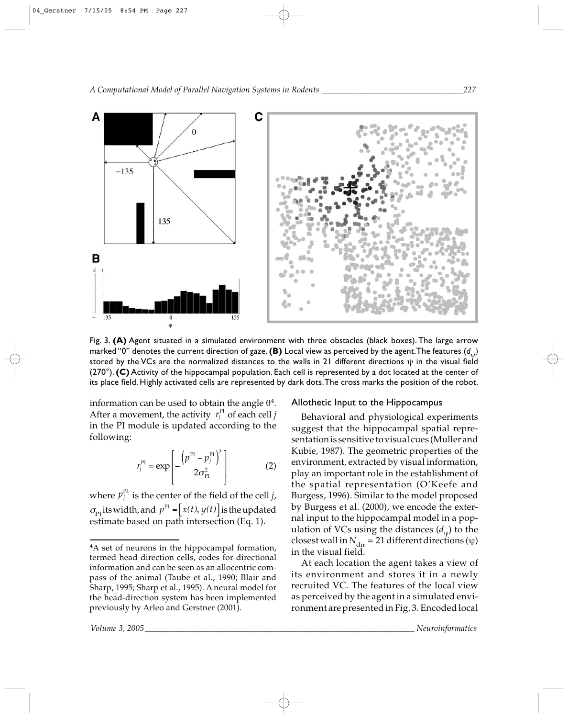

Fig. 3. **(A)** Agent situated in a simulated environment with three obstacles (black boxes). The large arrow marked "0" denotes the current direction of gaze. (B) Local view as perceived by the agent. The features  $(d_{ij})$ stored by the VCs are the normalized distances to the walls in 21 different directions  $\psi$  in the visual field (270°).**(C)** Activity of the hippocampal population. Each cell is represented by a dot located at the center of its place field. Highly activated cells are represented by dark dots.The cross marks the position of the robot.

information can be used to obtain the angle  $\theta^4$ . After a movement, the activity  $r_j^{\text{PI}}$  of each cell *j* in the PI module is updated according to the following:

$$
r_j^{\text{PI}} = \exp\left[-\frac{\left(p^{\text{PI}} - p_j^{\text{PI}}\right)^2}{2\sigma_{\text{PI}}^2}\right]
$$
 (2)

where  $p_j^{\text{PI}}$  is the center of the field of the cell *j*,  $\sigma_{\text{PI}}$  its width, and  $p^{\text{PI}} = \left[ x(t), y(t) \right]$  is the updated estimate based on path intersection (Eq. 1).

#### Allothetic Input to the Hippocampus

Behavioral and physiological experiments suggest that the hippocampal spatial representation is sensitive to visual cues (Muller and Kubie, 1987). The geometric properties of the environment, extracted by visual information, play an important role in the establishment of the spatial representation (O'Keefe and Burgess, 1996). Similar to the model proposed by Burgess et al. (2000), we encode the external input to the hippocampal model in a population of VCs using the distances  $(d_{\psi})$  to the closest wall in  $N_{\text{dir}} = 21$  different directions ( $\psi$ ) in the visual field.

At each location the agent takes a view of its environment and stores it in a newly recruited VC. The features of the local view as perceived by the agent in a simulated environment are presented in Fig. 3. Encoded local

<sup>4</sup>A set of neurons in the hippocampal formation, termed head direction cells, codes for directional information and can be seen as an allocentric compass of the animal (Taube et al., 1990; Blair and Sharp, 1995; Sharp et al., 1995). A neural model for the head-direction system has been implemented previously by Arleo and Gerstner (2001).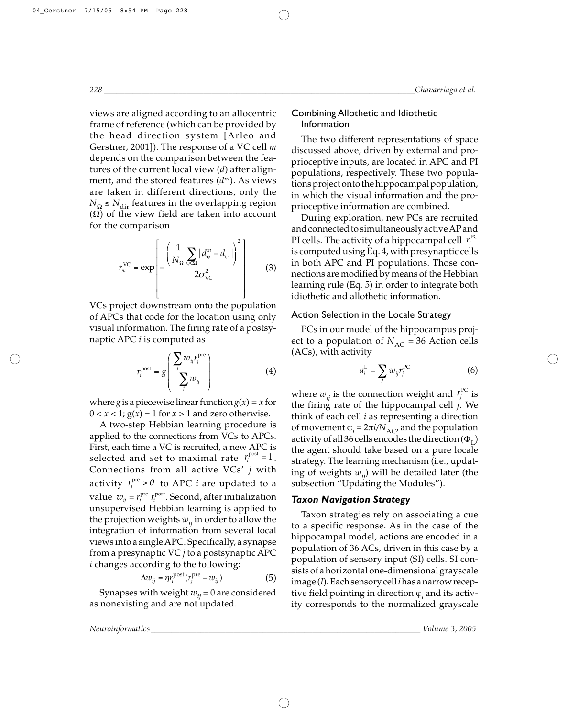views are aligned according to an allocentric frame of reference (which can be provided by the head direction system [Arleo and Gerstner, 2001]). The response of a VC cell *m* depends on the comparison between the features of the current local view (*d*) after alignment, and the stored features (*dm*). As views are taken in different directions, only the  $N_{\rm O}$  ≤  $N_{\rm dir}$  features in the overlapping region (Ω) of the view field are taken into account for the comparison

$$
r_{m}^{\text{VC}} = \exp\left[-\frac{\left(\frac{1}{N_{\Omega}}\sum_{\psi\in\Omega}|d_{\psi}^{m} - d_{\psi}|\right)^{2}}{2\sigma_{\text{VC}}^{2}}\right]
$$
(3)

VCs project downstream onto the population of APCs that code for the location using only visual information. The firing rate of a postsynaptic APC *i* is computed as

$$
r_i^{\text{post}} = g\left(\frac{\sum_j w_{ij} r_j^{\text{pre}}}{\sum_j w_{ij}}\right) \tag{4}
$$

where *g* is a piecewise linear function  $g(x) = x$  for  $0 < x < 1$ ;  $g(x) = 1$  for  $x > 1$  and zero otherwise.

A two-step Hebbian learning procedure is applied to the connections from VCs to APCs. First, each time a VC is recruited, a new APC is selected and set to maximal rate  $r_i^{\text{post}} = 1$ . Connections from all active VCs' *j* with activity  $r_j^{\text{pre}} > \theta$  to APC *i* are updated to a value  $w_{ij} = r_i^{\text{pre}} r_i^{\text{post}}$ . Second, after initialization unsupervised Hebbian learning is applied to the projection weights  $w_{ii}$  in order to allow the integration of information from several local views into a single APC. Specifically, a synapse from a presynaptic VC *j* to a postsynaptic APC *i* changes according to the following:

$$
\Delta w_{ij} = \eta r_i^{\text{post}}(r_j^{\text{pre}} - w_{ij})
$$
 (5)

Synapses with weight  $w_{ii} = 0$  are considered as nonexisting and are not updated.

#### Combining Allothetic and Idiothetic Information

The two different representations of space discussed above, driven by external and proprioceptive inputs, are located in APC and PI populations, respectively. These two populations project onto the hippocampal population, in which the visual information and the proprioceptive information are combined.

During exploration, new PCs are recruited and connected to simultaneously active APand PI cells. The activity of a hippocampal cell  $r_i^{\text{PC}}$ is computed using Eq. 4, with presynaptic cells in both APC and PI populations. Those connections are modified by means of the Hebbian learning rule (Eq. 5) in order to integrate both idiothetic and allothetic information.

#### Action Selection in the Locale Strategy

PCs in our model of the hippocampus project to a population of  $N_{AC}$  = 36 Action cells (ACs), with activity

$$
a_i^{\mathrm{L}} = \sum_j w_{ij} r_j^{\mathrm{PC}} \tag{6}
$$

where  $w_{ij}$  is the connection weight and  $r_j^{\text{PC}}$  is the firing rate of the hippocampal cell *j*. We think of each cell *i* as representing a direction of movement  $\varphi_i = 2\pi i / N_{AC}$ , and the population activity of all 36 cells encodes the direction  $(\Phi_{\rm r})$ the agent should take based on a pure locale strategy. The learning mechanism (i.e., updating of weights  $w_{ij}$ ) will be detailed later (the subsection "Updating the Modules").

#### *Taxon Navigation Strategy*

Taxon strategies rely on associating a cue to a specific response. As in the case of the hippocampal model, actions are encoded in a population of 36 ACs, driven in this case by a population of sensory input (SI) cells. SI consists of a horizontal one-dimensional grayscale image (*I*). Each sensory cell *i*has a narrow receptive field pointing in direction ϕ*<sup>i</sup>* and its activity corresponds to the normalized grayscale

*Neuroinformatics\_\_\_\_\_\_\_\_\_\_\_\_\_\_\_\_\_\_\_\_\_\_\_\_\_\_\_\_\_\_\_\_\_\_\_\_\_\_\_\_\_\_\_\_\_\_\_\_\_\_\_\_\_\_\_\_\_\_\_\_\_\_\_\_\_ Volume 3, 2005*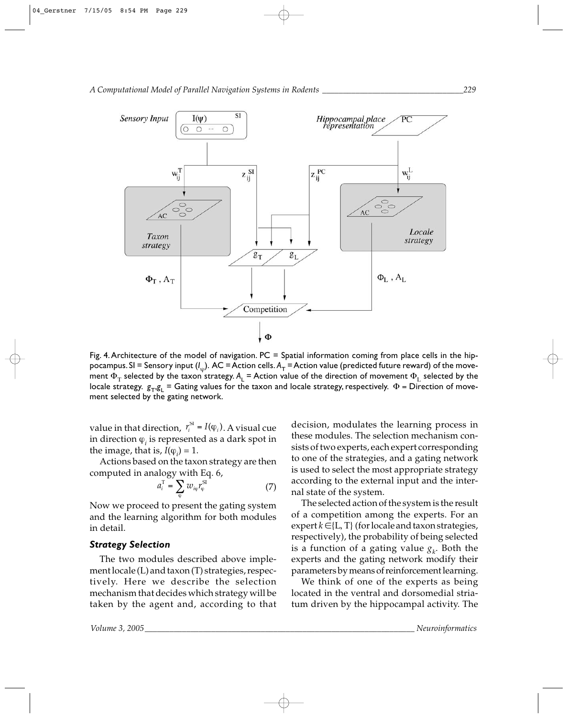

Fig. 4.Architecture of the model of navigation. PC = Spatial information coming from place cells in the hippocampus. SI = Sensory input (/<sub>ψ</sub>). AC = Action cells. A<sub>T</sub> = Action value (predicted future reward) of the movement  $\Phi_T$  selected by the taxon strategy.  $A_L$  = Action value of the direction of movement  $\Phi_L$  selected by the locale strategy.  $g_T, g_L$  = Gating values for the taxon and locale strategy, respectively.  $\Phi$  = Direction of movement selected by the gating network.

value in that direction,  $r_i^{S_i} = I(\varphi_i)$ . A visual cue in direction  $\varphi_i$  is represented as a dark spot in the image, that is,  $I(\varphi_i) = 1$ .

Actions based on the taxon strategy are then computed in analogy with Eq. 6,

$$
a_i^{\mathrm{T}} = \sum_{\varphi} w_{i\varphi} r_{\varphi}^{\mathrm{SI}} \tag{7}
$$

Now we proceed to present the gating system and the learning algorithm for both modules in detail.

#### *Strategy Selection*

The two modules described above implement locale (L) and taxon (T) strategies, respectively. Here we describe the selection mechanism that decides which strategy will be taken by the agent and, according to that decision, modulates the learning process in these modules. The selection mechanism consists of two experts, each expert corresponding to one of the strategies, and a gating network is used to select the most appropriate strategy according to the external input and the internal state of the system.

The selected action of the system is the result of a competition among the experts. For an expert *k* ∈{L, T} (for locale and taxon strategies*,* respectively), the probability of being selected is a function of a gating value  $g_k$ . Both the experts and the gating network modify their parameters by means of reinforcement learning.

We think of one of the experts as being located in the ventral and dorsomedial striatum driven by the hippocampal activity. The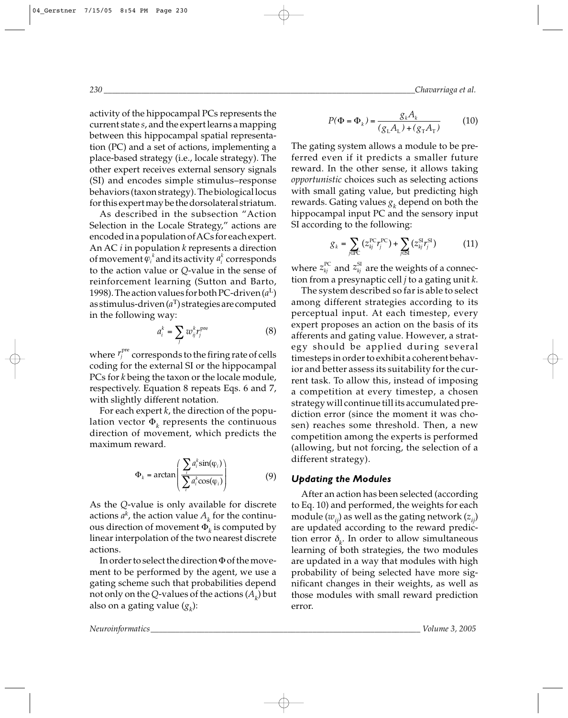activity of the hippocampal PCs represents the current state *s*, and the expert learns a mapping between this hippocampal spatial representation (PC) and a set of actions, implementing a place-based strategy (i.e., locale strategy). The other expert receives external sensory signals (SI) and encodes simple stimulus–response behaviors (taxon strategy). The biological locus for this expert may be the dorsolateral striatum.

As described in the subsection "Action Selection in the Locale Strategy," actions are encoded in a population of ACs for each expert. An AC *i* in population *k* represents a direction of movement  $\overline{\varphi_i}^k$  and its activity  $a_i^k$  corresponds to the action value or *Q*-value in the sense of reinforcement learning (Sutton and Barto, 1998). The action values for both PC-driven  $(a^L)$ as stimulus-driven (*a*T) strategies are computed in the following way:

$$
a_i^k = \sum_j w_{ij}^k r_j^{\text{pre}} \tag{8}
$$

where  $r_j^{\text{pre}}$  corresponds to the firing rate of cells coding for the external SI or the hippocampal PCs for *k* being the taxon or the locale module, respectively. Equation 8 repeats Eqs. 6 and 7, with slightly different notation.

For each expert *k*, the direction of the population vector  $\Phi_k$  represents the continuous direction of movement, which predicts the maximum reward.

$$
\Phi_k = \arctan\left(\frac{\sum_i a_i^k \sin(\varphi_i)}{\sum_i a_i^k \cos(\varphi_i)}\right) \tag{9}
$$

As the *Q*-value is only available for discrete actions  $a^k$ , the action value  $A_k$  for the continuous direction of movement  $\Phi_k$  is computed by linear interpolation of the two nearest discrete actions.

In order to select the direction Φof the movement to be performed by the agent, we use a gating scheme such that probabilities depend not only on the Q-values of the actions  $(A_k)$  but also on a gating value ( $g_k$ ):

$$
P(\Phi = \Phi_k) = \frac{g_k A_k}{(g_L A_L) + (g_T A_T)}
$$
(10)

The gating system allows a module to be preferred even if it predicts a smaller future reward. In the other sense, it allows taking *opportunistic* choices such as selecting actions with small gating value, but predicting high rewards. Gating values  $g_k$  depend on both the hippocampal input PC and the sensory input SI according to the following:

$$
g_k = \sum_{j \in \mathcal{F}} (z_{kj}^{\text{PC}} r_j^{\text{PC}}) + \sum_{j \in \mathcal{I}} (z_{kj}^{\text{SI}} r_j^{\text{SI}})
$$
(11)

where  $z_{kj}^{\text{PC}}$  and  $z_{kj}^{\text{SI}}$  are the weights of a connection from a presynaptic cell *j* to a gating unit *k*.

The system described so far is able to select among different strategies according to its perceptual input. At each timestep, every expert proposes an action on the basis of its afferents and gating value. However, a strategy should be applied during several timesteps in order to exhibit a coherent behavior and better assess its suitability for the current task. To allow this, instead of imposing a competition at every timestep, a chosen strategy will continue till its accumulated prediction error (since the moment it was chosen) reaches some threshold. Then, a new competition among the experts is performed (allowing, but not forcing, the selection of a different strategy).

#### *Updating the Modules*

After an action has been selected (according to Eq. 10) and performed, the weights for each module  $(w_{ij})$  as well as the gating network  $(z_{ij})$ are updated according to the reward prediction error  $\delta_k$ . In order to allow simultaneous learning of both strategies, the two modules are updated in a way that modules with high probability of being selected have more significant changes in their weights, as well as those modules with small reward prediction error.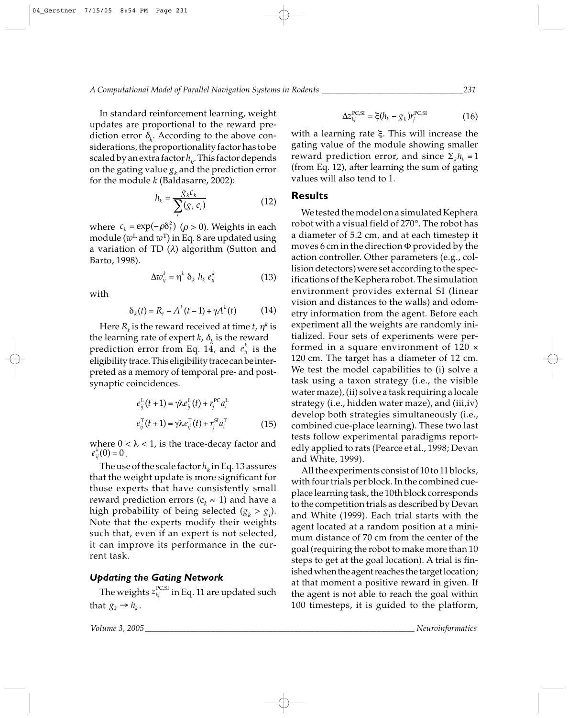In standard reinforcement learning, weight updates are proportional to the reward prediction error  $\delta_k$ . According to the above considerations, the proportionality factor has to be scaled by an extra factor  $h_{k}$ . This factor depends on the gating value  $g_k$  and the prediction error for the module *k* (Baldasarre, 2002):

$$
h_k = \frac{g_k c_k}{\sum_i (g_i c_i)}\tag{12}
$$

where  $c_k = \exp(-\rho \delta_k^2)$  ( $\rho > 0$ ). Weights in each module ( $w<sup>L</sup>$  and  $w<sup>T</sup>$ ) in Eq. 8 are updated using a variation of TD  $(\lambda)$  algorithm (Sutton and Barto, 1998).

$$
\Delta w_{ij}^k = \eta^k \, \delta_k \, h_k \, e_{ij}^k \tag{13}
$$

with

$$
\delta_k(t) = R_t - A^k(t-1) + \gamma A^k(t) \tag{14}
$$

Here  $R_t$  is the reward received at time *t*,  $\eta^k$  is the learning rate of expert *k*,  $\delta_k$  is the reward prediction error from Eq. 14, and  $e_{ij}^k$  is the eligibility trace. This eligibility trace can be interpreted as a memory of temporal pre- and postsynaptic coincidences.

$$
e_{ij}^{\mathrm{L}}(t+1) = \gamma \lambda e_{ij}^{\mathrm{L}}(t) + r_{j}^{\mathrm{PC}} a_{i}^{\mathrm{L}}
$$
  

$$
e_{ij}^{\mathrm{T}}(t+1) = \gamma \lambda e_{ij}^{\mathrm{T}}(t) + r_{j}^{\mathrm{SI}} a_{i}^{\mathrm{T}}
$$
 (15)

where  $0 < \lambda < 1$ , is the trace-decay factor and  $e_{ij}^k(0) = 0$ .

The use of the scale factor  $h_k$  in Eq. 13 assures that the weight update is more significant for those experts that have consistently small reward prediction errors ( $c_k \approx 1$ ) and have a high probability of being selected  $(g_k > g_i)$ . Note that the experts modify their weights such that, even if an expert is not selected, it can improve its performance in the current task.

#### *Updating the Gating Network*

The weights  $z_{\scriptscriptstyle k j}^{\rm P C,SI}$  in Eq. 11 are updated such that  $g_k \rightarrow h_k$ .

$$
\Delta z_{kj}^{\text{PC,SI}} = \xi (h_k - g_k) r_j^{\text{PC,SI}} \tag{16}
$$

with a learning rate ξ. This will increase the gating value of the module showing smaller reward prediction error, and since  $\Sigma_k h_k = 1$ (from Eq. 12), after learning the sum of gating values will also tend to 1.

#### **Results**

We tested the model on a simulated Kephera robot with a visual field of 270°. The robot has a diameter of 5.2 cm, and at each timestep it moves 6 cm in the direction Φ provided by the action controller. Other parameters (e.g., collision detectors) were set according to the specifications of the Kephera robot. The simulation environment provides external SI (linear vision and distances to the walls) and odometry information from the agent. Before each experiment all the weights are randomly initialized. Four sets of experiments were performed in a square environment of 120 × 120 cm. The target has a diameter of 12 cm. We test the model capabilities to (i) solve a task using a taxon strategy (i.e., the visible water maze), (ii) solve a task requiring a locale strategy (i.e., hidden water maze), and (iii,iv) develop both strategies simultaneously (i.e., combined cue-place learning). These two last tests follow experimental paradigms reportedly applied to rats (Pearce et al., 1998; Devan and White, 1999).

All the experiments consist of 10 to 11 blocks, with four trials per block. In the combined cueplace learning task, the 10th block corresponds to the competition trials as described by Devan and White (1999). Each trial starts with the agent located at a random position at a minimum distance of 70 cm from the center of the goal (requiring the robot to make more than 10 steps to get at the goal location). A trial is finished when the agent reaches the target location; at that moment a positive reward in given. If the agent is not able to reach the goal within 100 timesteps, it is guided to the platform,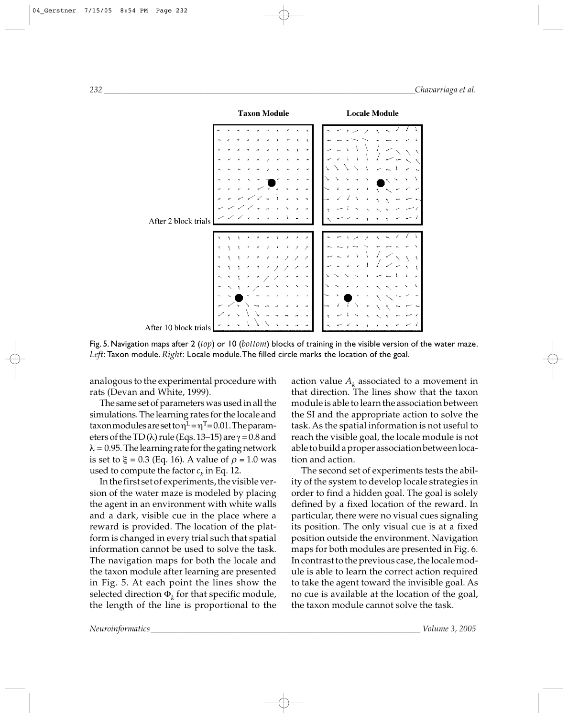

Fig. 5. Navigation maps after 2 (*top*) or 10 (*bottom*) blocks of training in the visible version of the water maze. *Left*: Taxon module. *Right*: Locale module.The filled circle marks the location of the goal.

analogous to the experimental procedure with rats (Devan and White, 1999).

The same set of parameters was used in all the simulations. The learning rates for the locale and taxon modules are set to  $\eta^L = \eta^T = 0.01$ . The parameters of the TD ( $\lambda$ ) rule (Eqs. 13–15) are  $\gamma$  = 0.8 and  $\lambda$  = 0.95. The learning rate for the gating network is set to  $\xi = 0.3$  (Eq. 16). A value of  $\rho = 1.0$  was used to compute the factor  $c_k$  in Eq. 12.

In the first set of experiments, the visible version of the water maze is modeled by placing the agent in an environment with white walls and a dark, visible cue in the place where a reward is provided. The location of the platform is changed in every trial such that spatial information cannot be used to solve the task. The navigation maps for both the locale and the taxon module after learning are presented in Fig. 5. At each point the lines show the selected direction  $\Phi_k$  for that specific module, the length of the line is proportional to the

action value  $A_k$  associated to a movement in that direction. The lines show that the taxon module is able to learn the association between the SI and the appropriate action to solve the task. As the spatial information is not useful to reach the visible goal, the locale module is not able to build a proper association between location and action.

The second set of experiments tests the ability of the system to develop locale strategies in order to find a hidden goal. The goal is solely defined by a fixed location of the reward. In particular, there were no visual cues signaling its position. The only visual cue is at a fixed position outside the environment. Navigation maps for both modules are presented in Fig. 6. In contrast to the previous case, the locale module is able to learn the correct action required to take the agent toward the invisible goal. As no cue is available at the location of the goal, the taxon module cannot solve the task.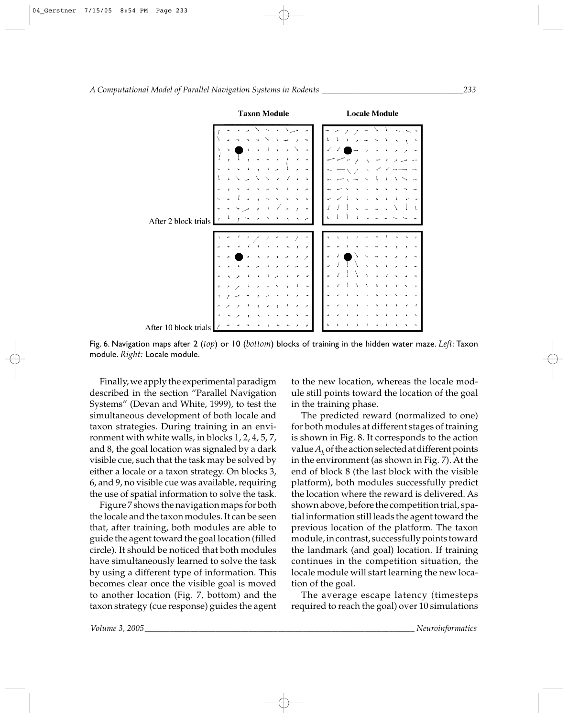

Fig. 6. Navigation maps after 2 (*top*) or 10 (*bottom*) blocks of training in the hidden water maze. *Left:* Taxon module. *Right:* Locale module.

Finally, we apply the experimental paradigm described in the section "Parallel Navigation Systems" (Devan and White, 1999), to test the simultaneous development of both locale and taxon strategies. During training in an environment with white walls, in blocks 1, 2, 4, 5, 7, and 8, the goal location was signaled by a dark visible cue, such that the task may be solved by either a locale or a taxon strategy. On blocks 3, 6, and 9, no visible cue was available, requiring the use of spatial information to solve the task.

Figure 7 shows the navigation maps for both the locale and the taxon modules. It can be seen that, after training, both modules are able to guide the agent toward the goal location (filled circle). It should be noticed that both modules have simultaneously learned to solve the task by using a different type of information. This becomes clear once the visible goal is moved to another location (Fig. 7, bottom) and the taxon strategy (cue response) guides the agent

to the new location, whereas the locale module still points toward the location of the goal in the training phase.

The predicted reward (normalized to one) for both modules at different stages of training is shown in Fig. 8. It corresponds to the action value  $A_k$  of the action selected at different points in the environment (as shown in Fig. 7). At the end of block 8 (the last block with the visible platform), both modules successfully predict the location where the reward is delivered. As shown above, before the competition trial, spatial information still leads the agent toward the previous location of the platform. The taxon module, in contrast, successfully points toward the landmark (and goal) location. If training continues in the competition situation, the locale module will start learning the new location of the goal.

The average escape latency (timesteps required to reach the goal) over 10 simulations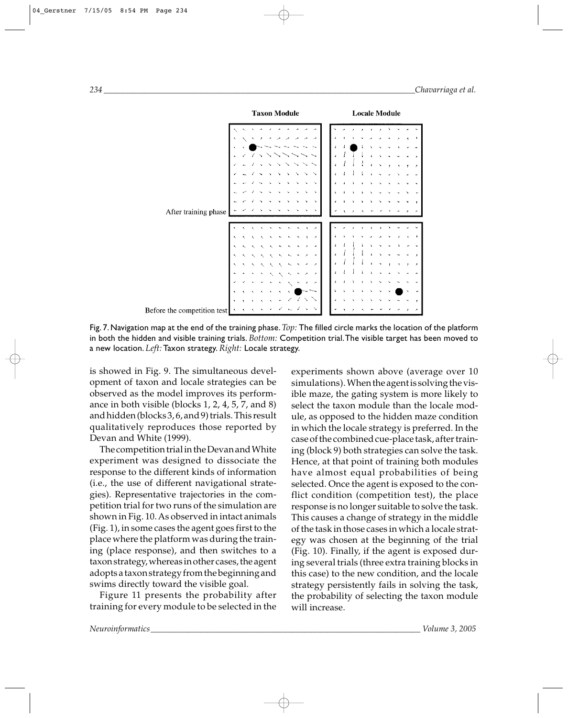

Fig. 7. Navigation map at the end of the training phase.*Top:* The filled circle marks the location of the platform in both the hidden and visible training trials. *Bottom:* Competition trial.The visible target has been moved to a new location. *Left:* Taxon strategy. *Right:* Locale strategy.

is showed in Fig. 9. The simultaneous development of taxon and locale strategies can be observed as the model improves its performance in both visible (blocks 1, 2, 4, 5, 7, and 8) and hidden (blocks 3, 6, and 9) trials. This result qualitatively reproduces those reported by Devan and White (1999).

The competition trial in the Devan and White experiment was designed to dissociate the response to the different kinds of information (i.e., the use of different navigational strategies). Representative trajectories in the competition trial for two runs of the simulation are shown in Fig. 10. As observed in intact animals (Fig. 1), in some cases the agent goes first to the place where the platform was during the training (place response), and then switches to a taxon strategy, whereas in other cases, the agent adopts a taxon strategy from the beginning and swims directly toward the visible goal.

Figure 11 presents the probability after training for every module to be selected in the

experiments shown above (average over 10 simulations). When the agent is solving the visible maze, the gating system is more likely to select the taxon module than the locale module, as opposed to the hidden maze condition in which the locale strategy is preferred. In the case of the combined cue-place task, after training (block 9) both strategies can solve the task. Hence, at that point of training both modules have almost equal probabilities of being selected. Once the agent is exposed to the conflict condition (competition test), the place response is no longer suitable to solve the task. This causes a change of strategy in the middle of the task in those cases in which a locale strategy was chosen at the beginning of the trial (Fig. 10). Finally, if the agent is exposed during several trials (three extra training blocks in this case) to the new condition, and the locale strategy persistently fails in solving the task, the probability of selecting the taxon module will increase.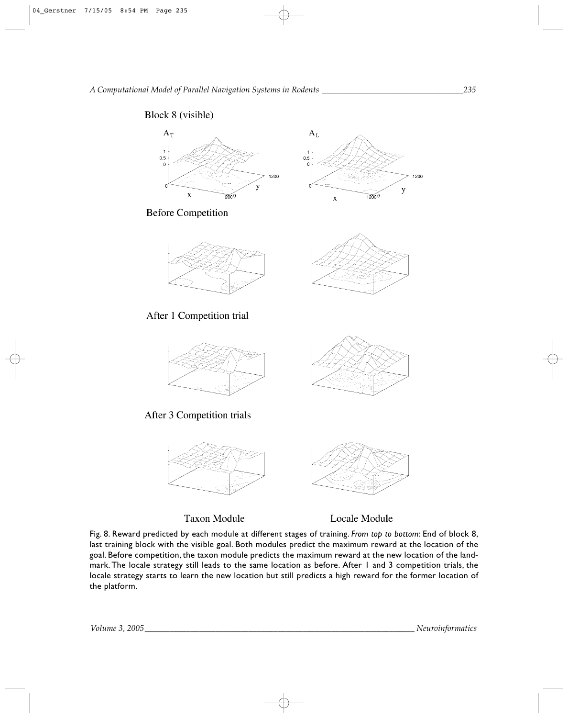

Fig. 8. Reward predicted by each module at different stages of training. *From top to bottom*: End of block 8, last training block with the visible goal. Both modules predict the maximum reward at the location of the goal. Before competition, the taxon module predicts the maximum reward at the new location of the landmark. The locale strategy still leads to the same location as before. After 1 and 3 competition trials, the locale strategy starts to learn the new location but still predicts a high reward for the former location of the platform.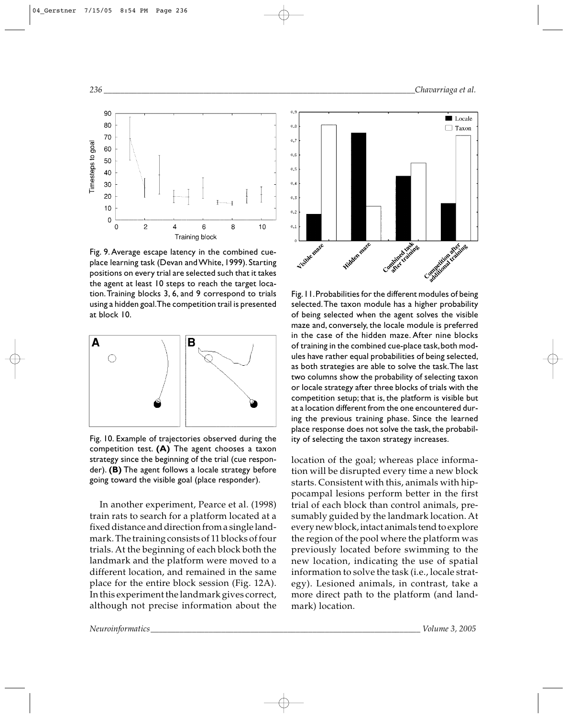

Fig. 9. Average escape latency in the combined cueplace learning task (Devan and White, 1999). Starting positions on every trial are selected such that it takes the agent at least 10 steps to reach the target location.Training blocks 3, 6, and 9 correspond to trials using a hidden goal.The competition trail is presented at block 10.



Fig. 10. Example of trajectories observed during the competition test. **(A)** The agent chooses a taxon strategy since the beginning of the trial (cue responder). **(B)** The agent follows a locale strategy before going toward the visible goal (place responder).

In another experiment, Pearce et al. (1998) train rats to search for a platform located at a fixed distance and direction from a single landmark. The training consists of 11 blocks of four trials. At the beginning of each block both the landmark and the platform were moved to a different location, and remained in the same place for the entire block session (Fig. 12A). In this experiment the landmark gives correct, although not precise information about the



Fig.11.Probabilities for the different modules of being selected.The taxon module has a higher probability of being selected when the agent solves the visible maze and, conversely, the locale module is preferred in the case of the hidden maze. After nine blocks of training in the combined cue-place task,both modules have rather equal probabilities of being selected, as both strategies are able to solve the task.The last two columns show the probability of selecting taxon or locale strategy after three blocks of trials with the competition setup; that is, the platform is visible but at a location different from the one encountered during the previous training phase. Since the learned place response does not solve the task, the probability of selecting the taxon strategy increases.

location of the goal; whereas place information will be disrupted every time a new block starts. Consistent with this, animals with hippocampal lesions perform better in the first trial of each block than control animals, presumably guided by the landmark location. At every new block, intact animals tend to explore the region of the pool where the platform was previously located before swimming to the new location, indicating the use of spatial information to solve the task (i.e., locale strategy). Lesioned animals, in contrast, take a more direct path to the platform (and landmark) location.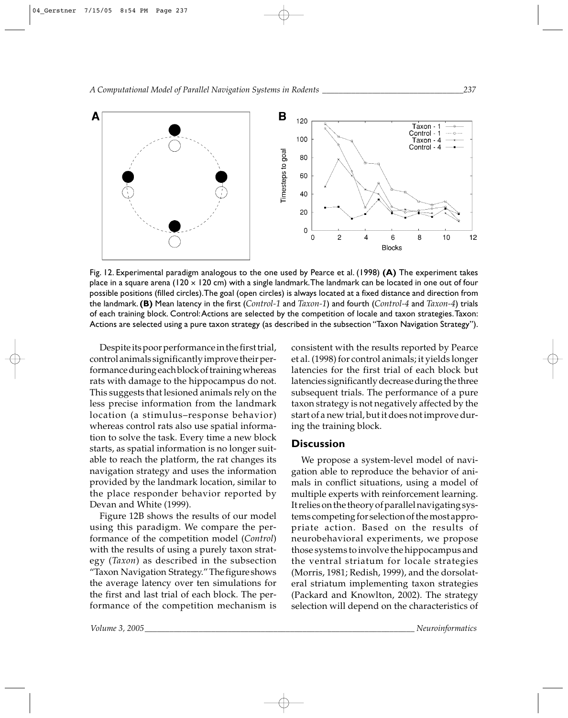

Fig. 12. Experimental paradigm analogous to the one used by Pearce et al. (1998) **(A)** The experiment takes place in a square arena ( $120 \times 120$  cm) with a single landmark. The landmark can be located in one out of four possible positions (filled circles).The goal (open circles) is always located at a fixed distance and direction from the landmark.**(B)** Mean latency in the first (*Control-1* and *Taxon-1*) and fourth (*Control-4* and *Taxon-4*) trials of each training block. Control:Actions are selected by the competition of locale and taxon strategies.Taxon: Actions are selected using a pure taxon strategy (as described in the subsection "Taxon Navigation Strategy").

Despite its poor performance in the first trial, control animals significantly improve their performance during each block of training whereas rats with damage to the hippocampus do not. This suggests that lesioned animals rely on the less precise information from the landmark location (a stimulus–response behavior) whereas control rats also use spatial information to solve the task. Every time a new block starts, as spatial information is no longer suitable to reach the platform, the rat changes its navigation strategy and uses the information provided by the landmark location, similar to the place responder behavior reported by Devan and White (1999).

Figure 12B shows the results of our model using this paradigm. We compare the performance of the competition model (*Control*) with the results of using a purely taxon strategy (*Taxon*) as described in the subsection "Taxon Navigation Strategy." The figure shows the average latency over ten simulations for the first and last trial of each block. The performance of the competition mechanism is consistent with the results reported by Pearce et al. (1998) for control animals; it yields longer latencies for the first trial of each block but latencies significantly decrease during the three subsequent trials. The performance of a pure taxon strategy is not negatively affected by the start of a new trial, but it does not improve during the training block.

#### **Discussion**

We propose a system-level model of navigation able to reproduce the behavior of animals in conflict situations, using a model of multiple experts with reinforcement learning. It relies on the theory of parallel navigating systems competing for selection of the most appropriate action. Based on the results of neurobehavioral experiments, we propose those systems to involve the hippocampus and the ventral striatum for locale strategies (Morris, 1981; Redish, 1999), and the dorsolateral striatum implementing taxon strategies (Packard and Knowlton, 2002). The strategy selection will depend on the characteristics of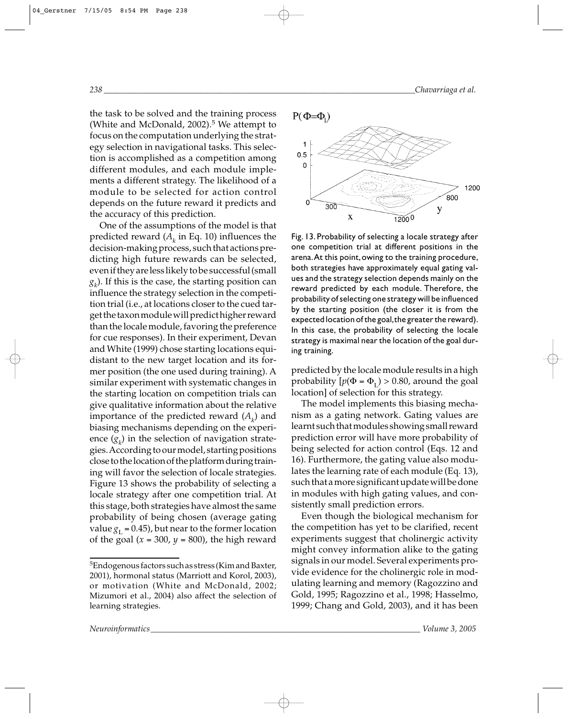the task to be solved and the training process (White and McDonald,  $2002$ ).<sup>5</sup> We attempt to focus on the computation underlying the strategy selection in navigational tasks. This selection is accomplished as a competition among different modules, and each module implements a different strategy. The likelihood of a module to be selected for action control depends on the future reward it predicts and the accuracy of this prediction.

One of the assumptions of the model is that predicted reward  $(A_k$  in Eq. 10) influences the decision-making process, such that actions predicting high future rewards can be selected, even if they are less likely to be successful (small  $g_k$ ). If this is the case, the starting position can influence the strategy selection in the competition trial (i.e., at locations closer to the cued target the taxon module will predict higher reward than the locale module, favoring the preference for cue responses). In their experiment, Devan and White (1999) chose starting locations equidistant to the new target location and its former position (the one used during training). A similar experiment with systematic changes in the starting location on competition trials can give qualitative information about the relative importance of the predicted reward  $(A_k)$  and biasing mechanisms depending on the experience  $(g_k)$  in the selection of navigation strategies. According to our model, starting positions close to the location of the platform during training will favor the selection of locale strategies. Figure 13 shows the probability of selecting a locale strategy after one competition trial. At this stage, both strategies have almost the same probability of being chosen (average gating value  $g_L$  = 0.45), but near to the former location of the goal  $(x = 300, y = 800)$ , the high reward



Fig. 13. Probability of selecting a locale strategy after one competition trial at different positions in the arena.At this point,owing to the training procedure, both strategies have approximately equal gating values and the strategy selection depends mainly on the reward predicted by each module. Therefore, the probability of selecting one strategy will be influenced by the starting position (the closer it is from the expected location of the goal,the greater the reward). In this case, the probability of selecting the locale strategy is maximal near the location of the goal during training.

predicted by the locale module results in a high probability  $[p(\Phi = \Phi) > 0.80$ , around the goal location] of selection for this strategy.

The model implements this biasing mechanism as a gating network. Gating values are learnt such that modules showing small reward prediction error will have more probability of being selected for action control (Eqs. 12 and 16). Furthermore, the gating value also modulates the learning rate of each module (Eq. 13), such that a more significant update will be done in modules with high gating values, and consistently small prediction errors.

Even though the biological mechanism for the competition has yet to be clarified, recent experiments suggest that cholinergic activity might convey information alike to the gating signals in our model. Several experiments provide evidence for the cholinergic role in modulating learning and memory (Ragozzino and Gold, 1995; Ragozzino et al., 1998; Hasselmo, 1999; Chang and Gold, 2003), and it has been

<sup>5</sup>Endogenous factors such as stress (Kim and Baxter, 2001), hormonal status (Marriott and Korol, 2003), or motivation (White and McDonald, 2002; Mizumori et al., 2004) also affect the selection of learning strategies.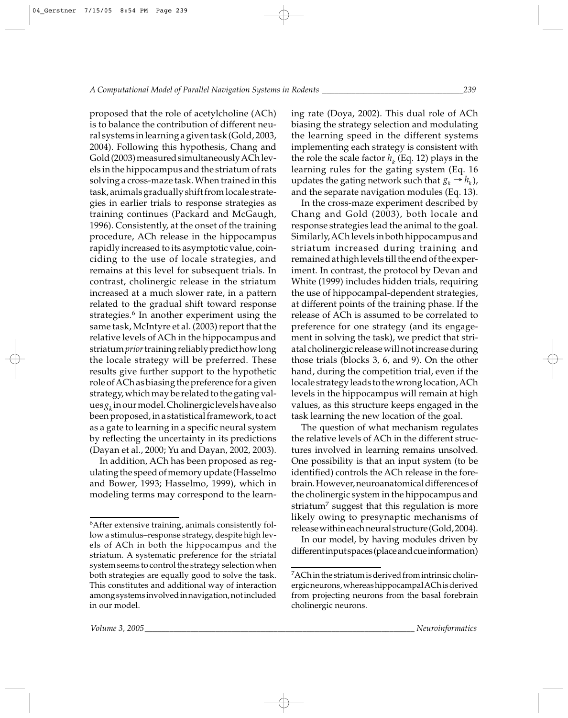proposed that the role of acetylcholine (ACh) is to balance the contribution of different neural systems in learning a given task (Gold, 2003, 2004). Following this hypothesis, Chang and Gold (2003) measured simultaneously ACh levels in the hippocampus and the striatum of rats solving a cross-maze task. When trained in this task, animals gradually shift from locale strategies in earlier trials to response strategies as training continues (Packard and McGaugh, 1996). Consistently, at the onset of the training procedure, ACh release in the hippocampus rapidly increased to its asymptotic value, coinciding to the use of locale strategies, and remains at this level for subsequent trials. In contrast, cholinergic release in the striatum increased at a much slower rate, in a pattern related to the gradual shift toward response strategies.<sup>6</sup> In another experiment using the same task, McIntyre et al. (2003) report that the relative levels of ACh in the hippocampus and striatum *prior*training reliably predict how long the locale strategy will be preferred. These results give further support to the hypothetic role of ACh as biasing the preference for a given strategy, which may be related to the gating val- $\mathrm{ues} g_{k}$  in our model. Cholinergic levels have also been proposed, in a statistical framework, to act as a gate to learning in a specific neural system by reflecting the uncertainty in its predictions (Dayan et al., 2000; Yu and Dayan, 2002, 2003).

In addition, ACh has been proposed as regulating the speed of memory update (Hasselmo and Bower, 1993; Hasselmo, 1999), which in modeling terms may correspond to the learning rate (Doya, 2002). This dual role of ACh biasing the strategy selection and modulating the learning speed in the different systems implementing each strategy is consistent with the role the scale factor  $h_k$  (Eq. 12) plays in the learning rules for the gating system (Eq. 16 updates the gating network such that  $g_k \to h_k$ ), and the separate navigation modules (Eq. 13).

In the cross-maze experiment described by Chang and Gold (2003), both locale and response strategies lead the animal to the goal. Similarly, ACh levels in both hippocampus and striatum increased during training and remained at high levels till the end of the experiment. In contrast, the protocol by Devan and White (1999) includes hidden trials, requiring the use of hippocampal-dependent strategies, at different points of the training phase. If the release of ACh is assumed to be correlated to preference for one strategy (and its engagement in solving the task), we predict that striatal cholinergic release will not increase during those trials (blocks 3, 6, and 9). On the other hand, during the competition trial, even if the locale strategy leads to the wrong location, ACh levels in the hippocampus will remain at high values, as this structure keeps engaged in the task learning the new location of the goal.

The question of what mechanism regulates the relative levels of ACh in the different structures involved in learning remains unsolved. One possibility is that an input system (to be identified) controls the ACh release in the forebrain. However, neuroanatomical differences of the cholinergic system in the hippocampus and striatum<sup>7</sup> suggest that this regulation is more likely owing to presynaptic mechanisms of release within each neural structure (Gold, 2004).

In our model, by having modules driven by different input spaces (place and cue information)

<sup>6</sup>After extensive training, animals consistently follow a stimulus–response strategy, despite high levels of ACh in both the hippocampus and the striatum. A systematic preference for the striatal system seems to control the strategy selection when both strategies are equally good to solve the task. This constitutes and additional way of interaction among systems involved in navigation, not included in our model.

<sup>7</sup>ACh in the striatum is derived from intrinsic cholinergic neurons, whereas hippocampal ACh is derived from projecting neurons from the basal forebrain cholinergic neurons.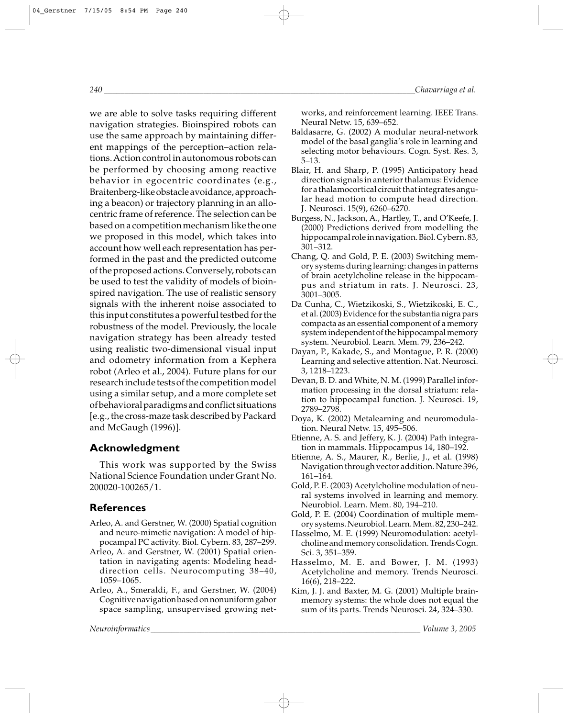we are able to solve tasks requiring different navigation strategies. Bioinspired robots can use the same approach by maintaining different mappings of the perception–action relations. Action control in autonomous robots can be performed by choosing among reactive behavior in egocentric coordinates (e.g., Braitenberg-like obstacle avoidance, approaching a beacon) or trajectory planning in an allocentric frame of reference. The selection can be based on a competition mechanism like the one we proposed in this model, which takes into account how well each representation has performed in the past and the predicted outcome of the proposed actions. Conversely, robots can be used to test the validity of models of bioinspired navigation. The use of realistic sensory signals with the inherent noise associated to this input constitutes a powerful testbed for the robustness of the model. Previously, the locale navigation strategy has been already tested using realistic two-dimensional visual input and odometry information from a Kephera robot (Arleo et al., 2004). Future plans for our research include tests of the competition model using a similar setup, and a more complete set of behavioral paradigms and conflict situations [e.g., the cross-maze task described by Packard and McGaugh (1996)].

#### **Acknowledgment**

This work was supported by the Swiss National Science Foundation under Grant No. 200020-100265/1.

#### **References**

- Arleo, A. and Gerstner, W. (2000) Spatial cognition and neuro-mimetic navigation: A model of hippocampal PC activity. Biol. Cybern. 83, 287–299.
- Arleo, A. and Gerstner, W. (2001) Spatial orientation in navigating agents: Modeling headdirection cells. Neurocomputing 38–40, 1059–1065.
- Arleo, A., Smeraldi, F., and Gerstner, W. (2004) Cognitive navigation based on nonuniform gabor space sampling, unsupervised growing net-

*240 \_\_\_\_\_\_\_\_\_\_\_\_\_\_\_\_\_\_\_\_\_\_\_\_\_\_\_\_\_\_\_\_\_\_\_\_\_\_\_\_\_\_\_\_\_\_\_\_\_\_\_\_\_\_\_\_\_\_\_\_\_\_\_\_\_\_\_\_\_\_\_\_\_\_\_Chavarriaga et al.*

works, and reinforcement learning. IEEE Trans. Neural Netw. 15, 639–652.

- Baldasarre, G. (2002) A modular neural-network model of the basal ganglia's role in learning and selecting motor behaviours. Cogn. Syst. Res. 3, 5–13.
- Blair, H. and Sharp, P. (1995) Anticipatory head direction signals in anterior thalamus: Evidence for a thalamocortical circuit that integrates angular head motion to compute head direction. J. Neurosci. 15(9), 6260–6270.
- Burgess, N., Jackson, A., Hartley, T., and O'Keefe, J. (2000) Predictions derived from modelling the hippocampal role in navigation. Biol. Cybern. 83, 301–312.
- Chang, Q. and Gold, P. E. (2003) Switching memory systems during learning: changes in patterns of brain acetylcholine release in the hippocampus and striatum in rats. J. Neurosci. 23, 3001–3005.
- Da Cunha, C., Wietzikoski, S., Wietzikoski, E. C., et al. (2003) Evidence for the substantia nigra pars compacta as an essential component of a memory system independent of the hippocampal memory system. Neurobiol. Learn. Mem. 79, 236–242.
- Dayan, P., Kakade, S., and Montague, P. R. (2000) Learning and selective attention. Nat. Neurosci. 3, 1218–1223.
- Devan, B. D. and White, N. M. (1999) Parallel information processing in the dorsal striatum: relation to hippocampal function. J. Neurosci. 19, 2789–2798.
- Doya, K. (2002) Metalearning and neuromodulation. Neural Netw. 15, 495–506.
- Etienne, A. S. and Jeffery, K. J. (2004) Path integration in mammals. Hippocampus 14, 180–192.
- Etienne, A. S., Maurer, R., Berlie, J., et al. (1998) Navigation through vector addition. Nature 396, 161–164.
- Gold, P. E. (2003) Acetylcholine modulation of neural systems involved in learning and memory. Neurobiol. Learn. Mem. 80, 194–210.
- Gold, P. E. (2004) Coordination of multiple memory systems. Neurobiol. Learn. Mem. 82, 230–242.
- Hasselmo, M. E. (1999) Neuromodulation: acetylcholine and memory consolidation. Trends Cogn. Sci. 3, 351–359.
- Hasselmo, M. E. and Bower, J. M. (1993) Acetylcholine and memory. Trends Neurosci. 16(6), 218–222.
- Kim, J. J. and Baxter, M. G. (2001) Multiple brainmemory systems: the whole does not equal the sum of its parts. Trends Neurosci. 24, 324–330.

*Neuroinformatics\_\_\_\_\_\_\_\_\_\_\_\_\_\_\_\_\_\_\_\_\_\_\_\_\_\_\_\_\_\_\_\_\_\_\_\_\_\_\_\_\_\_\_\_\_\_\_\_\_\_\_\_\_\_\_\_\_\_\_\_\_\_\_\_\_ Volume 3, 2005*